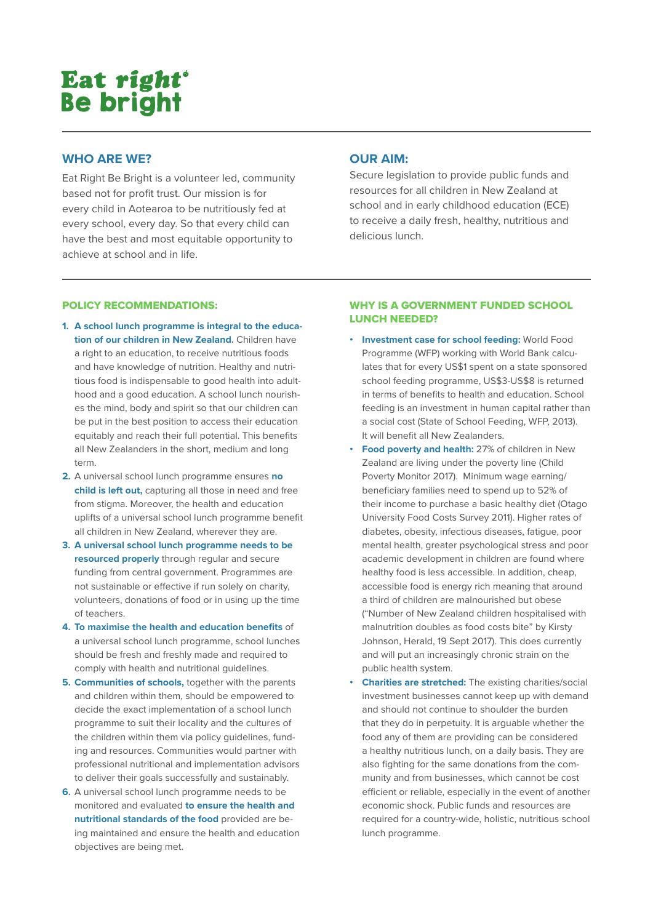# Eat right<sup>®</sup> **Be bright**

## **WHO ARE WE?**

Eat Right Be Bright is a volunteer led, community based not for profit trust. Our mission is for every child in Aotearoa to be nutritiously fed at every school, every day. So that every child can have the best and most equitable opportunity to achieve at school and in life.

# **OUR AIM:**

Secure legislation to provide public funds and resources for all children in New Zealand at school and in early childhood education (ECE) to receive a daily fresh, healthy, nutritious and delicious lunch.

## POLICY RECOMMENDATIONS:

- **1. A school lunch programme is integral to the education of our children in New Zealand.** Children have a right to an education, to receive nutritious foods and have knowledge of nutrition. Healthy and nutritious food is indispensable to good health into adulthood and a good education. A school lunch nourishes the mind, body and spirit so that our children can be put in the best position to access their education equitably and reach their full potential. This benefits all New Zealanders in the short, medium and long term.
- **2.** A universal school lunch programme ensures **no child is left out,** capturing all those in need and free from stigma. Moreover, the health and education uplifts of a universal school lunch programme benefit all children in New Zealand, wherever they are.
- **3. A universal school lunch programme needs to be resourced properly** through regular and secure funding from central government. Programmes are not sustainable or effective if run solely on charity, volunteers, donations of food or in using up the time of teachers.
- **4. To maximise the health and education benefits** of a universal school lunch programme, school lunches should be fresh and freshly made and required to comply with health and nutritional guidelines.
- **5. Communities of schools,** together with the parents and children within them, should be empowered to decide the exact implementation of a school lunch programme to suit their locality and the cultures of the children within them via policy guidelines, funding and resources. Communities would partner with professional nutritional and implementation advisors to deliver their goals successfully and sustainably.
- **6.** A universal school lunch programme needs to be monitored and evaluated **to ensure the health and nutritional standards of the food** provided are being maintained and ensure the health and education objectives are being met.

## WHY IS A GOVERNMENT FUNDED SCHOOL LUNCH NEEDED?

- **• Investment case for school feeding:** World Food Programme (WFP) working with World Bank calculates that for every US\$1 spent on a state sponsored school feeding programme, US\$3-US\$8 is returned in terms of benefits to health and education. School feeding is an investment in human capital rather than a social cost (State of School Feeding, WFP, 2013). It will benefit all New Zealanders.
- **• Food poverty and health:** 27% of children in New Zealand are living under the poverty line (Child Poverty Monitor 2017). Minimum wage earning/ beneficiary families need to spend up to 52% of their income to purchase a basic healthy diet (Otago University Food Costs Survey 2011). Higher rates of diabetes, obesity, infectious diseases, fatigue, poor mental health, greater psychological stress and poor academic development in children are found where healthy food is less accessible. In addition, cheap, accessible food is energy rich meaning that around a third of children are malnourished but obese ("Number of New Zealand children hospitalised with malnutrition doubles as food costs bite" by Kirsty Johnson, Herald, 19 Sept 2017). This does currently and will put an increasingly chronic strain on the public health system.
- **• Charities are stretched:** The existing charities/social investment businesses cannot keep up with demand and should not continue to shoulder the burden that they do in perpetuity. It is arguable whether the food any of them are providing can be considered a healthy nutritious lunch, on a daily basis. They are also fighting for the same donations from the community and from businesses, which cannot be cost efficient or reliable, especially in the event of another economic shock. Public funds and resources are required for a country-wide, holistic, nutritious school lunch programme.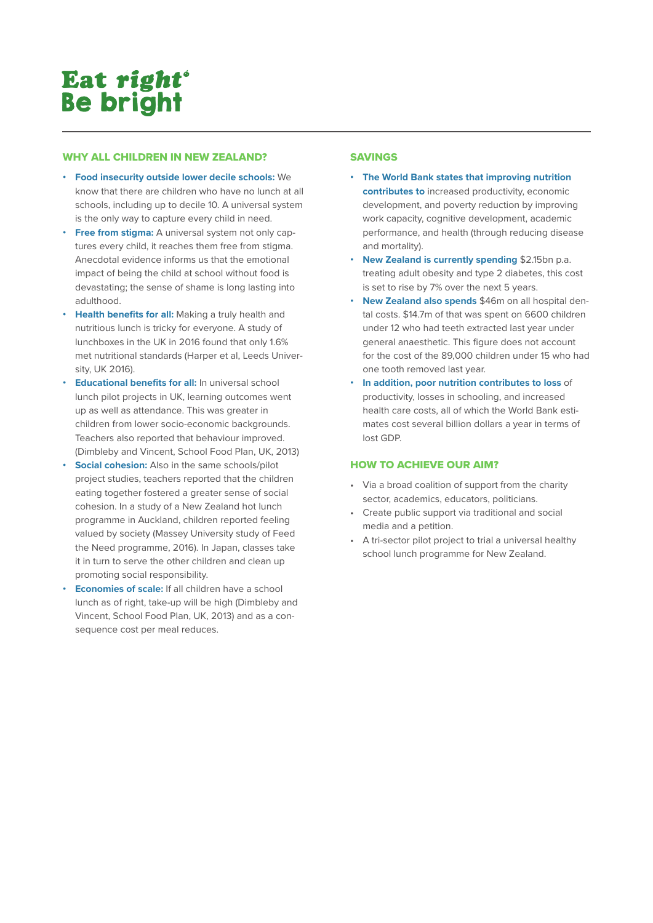# Eat right<sup>®</sup> **Be bright**

## WHY ALL CHILDREN IN NEW ZEALAND?

- **• Food insecurity outside lower decile schools:** We know that there are children who have no lunch at all schools, including up to decile 10. A universal system is the only way to capture every child in need.
- **• Free from stigma:** A universal system not only captures every child, it reaches them free from stigma. Anecdotal evidence informs us that the emotional impact of being the child at school without food is devastating; the sense of shame is long lasting into adulthood.
- **• Health benefits for all:** Making a truly health and nutritious lunch is tricky for everyone. A study of lunchboxes in the UK in 2016 found that only 1.6% met nutritional standards (Harper et al, Leeds University, UK 2016).
- **• Educational benefits for all:** In universal school lunch pilot projects in UK, learning outcomes went up as well as attendance. This was greater in children from lower socio-economic backgrounds. Teachers also reported that behaviour improved. (Dimbleby and Vincent, School Food Plan, UK, 2013)
- **Social cohesion:** Also in the same schools/pilot project studies, teachers reported that the children eating together fostered a greater sense of social cohesion. In a study of a New Zealand hot lunch programme in Auckland, children reported feeling valued by society (Massey University study of Feed the Need programme, 2016). In Japan, classes take it in turn to serve the other children and clean up promoting social responsibility.
- **• Economies of scale:** If all children have a school lunch as of right, take-up will be high (Dimbleby and Vincent, School Food Plan, UK, 2013) and as a consequence cost per meal reduces.

## SAVINGS

- **• The World Bank states that improving nutrition contributes to** increased productivity, economic development, and poverty reduction by improving work capacity, cognitive development, academic performance, and health (through reducing disease and mortality).
- **• New Zealand is currently spending** \$2.15bn p.a. treating adult obesity and type 2 diabetes, this cost is set to rise by 7% over the next 5 years.
- **• New Zealand also spends** \$46m on all hospital dental costs. \$14.7m of that was spent on 6600 children under 12 who had teeth extracted last year under general anaesthetic. This figure does not account for the cost of the 89,000 children under 15 who had one tooth removed last year.
- **• In addition, poor nutrition contributes to loss** of productivity, losses in schooling, and increased health care costs, all of which the World Bank estimates cost several billion dollars a year in terms of lost GDP.

## HOW TO ACHIEVE OUR AIM?

- Via a broad coalition of support from the charity sector, academics, educators, politicians.
- Create public support via traditional and social media and a petition.
- A tri-sector pilot project to trial a universal healthy school lunch programme for New Zealand.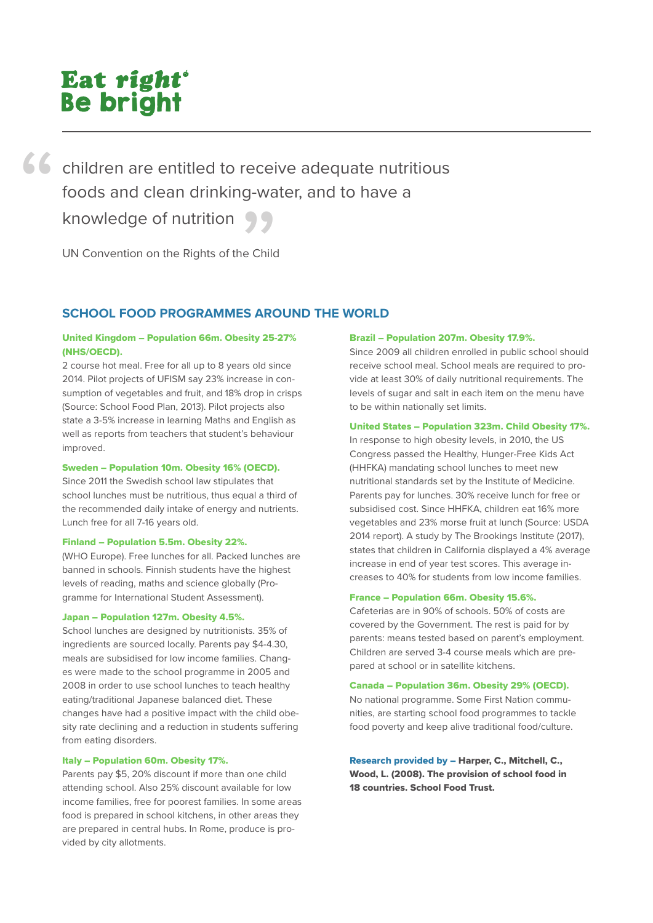# Eat right<sup>®</sup> **Be bright**

children are entitled to receive adequate nutritious foods and clean drinking-water, and to have a knowledge of nutrition<br>UN Convention on the Rights of the Child<br>Wild Child

UN Convention on the Rights of the Child

# **SCHOOL FOOD PROGRAMMES AROUND THE WORLD**

## United Kingdom – Population 66m. Obesity 25-27% (NHS/OECD).

2 course hot meal. Free for all up to 8 years old since 2014. Pilot projects of UFISM say 23% increase in consumption of vegetables and fruit, and 18% drop in crisps (Source: School Food Plan, 2013). Pilot projects also state a 3-5% increase in learning Maths and English as well as reports from teachers that student's behaviour improved.

### Sweden – Population 10m. Obesity 16% (OECD).

Since 2011 the Swedish school law stipulates that school lunches must be nutritious, thus equal a third of the recommended daily intake of energy and nutrients. Lunch free for all 7-16 years old.

### Finland – Population 5.5m. Obesity 22%.

(WHO Europe). Free lunches for all. Packed lunches are banned in schools. Finnish students have the highest levels of reading, maths and science globally (Programme for International Student Assessment).

### Japan – Population 127m. Obesity 4.5%.

School lunches are designed by nutritionists. 35% of ingredients are sourced locally. Parents pay \$4-4.30, meals are subsidised for low income families. Changes were made to the school programme in 2005 and 2008 in order to use school lunches to teach healthy eating/traditional Japanese balanced diet. These changes have had a positive impact with the child obesity rate declining and a reduction in students suffering from eating disorders.

## Italy – Population 60m. Obesity 17%.

Parents pay \$5, 20% discount if more than one child attending school. Also 25% discount available for low income families, free for poorest families. In some areas food is prepared in school kitchens, in other areas they are prepared in central hubs. In Rome, produce is provided by city allotments.

#### Brazil – Population 207m. Obesity 17.9%.

Since 2009 all children enrolled in public school should receive school meal. School meals are required to provide at least 30% of daily nutritional requirements. The levels of sugar and salt in each item on the menu have to be within nationally set limits.

#### United States – Population 323m. Child Obesity 17%.

In response to high obesity levels, in 2010, the US Congress passed the Healthy, Hunger-Free Kids Act (HHFKA) mandating school lunches to meet new nutritional standards set by the Institute of Medicine. Parents pay for lunches. 30% receive lunch for free or subsidised cost. Since HHFKA, children eat 16% more vegetables and 23% morse fruit at lunch (Source: USDA 2014 report). A study by The Brookings Institute (2017), states that children in California displayed a 4% average increase in end of year test scores. This average increases to 40% for students from low income families.

### France – Population 66m. Obesity 15.6%.

Cafeterias are in 90% of schools. 50% of costs are covered by the Government. The rest is paid for by parents: means tested based on parent's employment. Children are served 3-4 course meals which are prepared at school or in satellite kitchens.

#### Canada – Population 36m. Obesity 29% (OECD).

No national programme. Some First Nation communities, are starting school food programmes to tackle food poverty and keep alive traditional food/culture.

Research provided by – Harper, C., Mitchell, C., Wood, L. (2008). The provision of school food in 18 countries. School Food Trust.